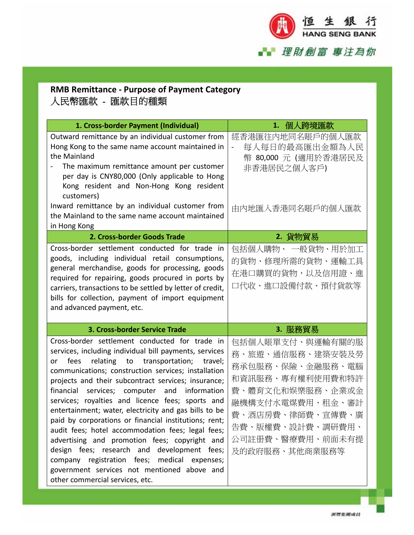

## **RMB Remittance ‐ Purpose of Payment Category** 人民幣匯款 - 匯款目的種類

| 1. Cross-border Payment (Individual)                                                                                                                                                                                                                                                                                                                                                                                                                                                                                                                                                                                                                                                                                  | 1. 個人跨境匯款                                                                                                                                                                                          |
|-----------------------------------------------------------------------------------------------------------------------------------------------------------------------------------------------------------------------------------------------------------------------------------------------------------------------------------------------------------------------------------------------------------------------------------------------------------------------------------------------------------------------------------------------------------------------------------------------------------------------------------------------------------------------------------------------------------------------|----------------------------------------------------------------------------------------------------------------------------------------------------------------------------------------------------|
| Outward remittance by an individual customer from<br>Hong Kong to the same name account maintained in<br>the Mainland<br>The maximum remittance amount per customer<br>per day is CNY80,000 (Only applicable to Hong<br>Kong resident and Non-Hong Kong resident                                                                                                                                                                                                                                                                                                                                                                                                                                                      | 經香港匯往內地同名賬戶的個人匯款<br>每人每日的最高匯出金額為人民<br>幣 80,000 元 (適用於香港居民及<br>非香港居民之個人客戶)                                                                                                                          |
| customers)<br>Inward remittance by an individual customer from<br>the Mainland to the same name account maintained<br>in Hong Kong<br>2. Cross-border Goods Trade                                                                                                                                                                                                                                                                                                                                                                                                                                                                                                                                                     | 由内地匯入香港同名賬戶的個人匯款<br>2. 貨物貿易                                                                                                                                                                        |
| Cross-border settlement conducted for trade in<br>goods, including individual retail consumptions,<br>general merchandise, goods for processing, goods<br>required for repairing, goods procured in ports by<br>carriers, transactions to be settled by letter of credit,<br>bills for collection, payment of import equipment<br>and advanced payment, etc.                                                                                                                                                                                                                                                                                                                                                          | 包括個人購物、 一般貨物、用於加工<br>的貨物、修理所需的貨物、運輸工具<br>在港口購買的貨物,以及信用證、進<br>口代收、進口設備付款、預付貨款等                                                                                                                      |
| 3. Cross-border Service Trade                                                                                                                                                                                                                                                                                                                                                                                                                                                                                                                                                                                                                                                                                         | 3. 服務貿易                                                                                                                                                                                            |
| Cross-border settlement conducted for trade in<br>services, including individual bill payments, services<br>relating to<br>transportation;<br>fees<br>travel;<br>or<br>communications; construction services; installation<br>projects and their subcontract services; insurance;<br>and<br>information<br>financial<br>services; computer<br>services; royalties and licence fees; sports and<br>entertainment; water, electricity and gas bills to be<br>paid by corporations or financial institutions; rent;<br>audit fees; hotel accommodation fees; legal fees;<br>advertising and promotion fees; copyright and<br>design fees; research and development fees;<br>company registration fees; medical expenses; | 包括個人賬單支付、與運輸有關的服<br>務、旅遊、通信服務、建築安裝及勞<br>務承包服務、保險、金融服務、電腦<br>和資訊服務、專有權利使用費和特許<br>費、體育文化和娱樂服務、企業或金<br>融機構支付水電煤費用、租金、審計<br>費、酒店房費、律師費、宣傳費、廣<br>告費、版權費、設計費、調研費用、<br>公司註冊費、醫療費用、前面未有提<br>及的政府服務、其他商業服務等 |